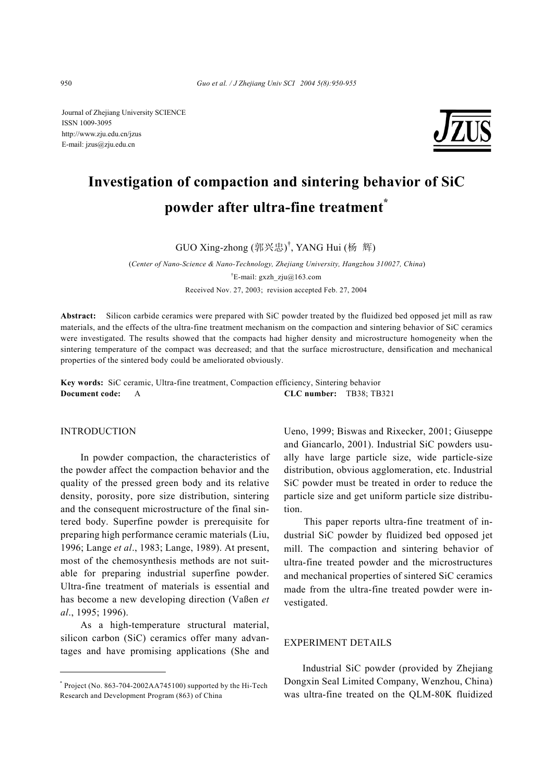Journal of Zhejiang University SCIENCE ISSN 1009-3095 http://www.zju.edu.cn/jzus E-mail: jzus@zju.edu.cn



# **Investigation of compaction and sintering behavior of SiC powder after ultra-fine treatment\***

GUO Xing-zhong (郭兴忠) † , YANG Hui (杨 辉)

 (*Center of Nano-Science & Nano-Technology, Zhejiang University, Hangzhou 310027, China*) <sup>†</sup>E-mail: gxzh\_zju@163.com Received Nov. 27, 2003; revision accepted Feb. 27, 2004

**Abstract:** Silicon carbide ceramics were prepared with SiC powder treated by the fluidized bed opposed jet mill as raw materials, and the effects of the ultra-fine treatment mechanism on the compaction and sintering behavior of SiC ceramics were investigated. The results showed that the compacts had higher density and microstructure homogeneity when the sintering temperature of the compact was decreased; and that the surface microstructure, densification and mechanical properties of the sintered body could be ameliorated obviously.

**Key words:** SiC ceramic, Ultra-fine treatment, Compaction efficiency, Sintering behavior **Document code:** A **CLC number:** TB38; TB321

#### INTRODUCTION

In powder compaction, the characteristics of the powder affect the compaction behavior and the quality of the pressed green body and its relative density, porosity, pore size distribution, sintering and the consequent microstructure of the final sintered body. Superfine powder is prerequisite for preparing high performance ceramic materials (Liu, 1996; Lange *et al*., 1983; Lange, 1989). At present, most of the chemosynthesis methods are not suitable for preparing industrial superfine powder. Ultra-fine treatment of materials is essential and has become a new developing direction (Vaßen *et al*., 1995; 1996).

As a high-temperature structural material, silicon carbon (SiC) ceramics offer many advantages and have promising applications (She and

\* Project (No. 863-704-2002AA745100) supported by the Hi-Tech Research and Development Program (863) of China

Ueno, 1999; Biswas and Rixecker, 2001; Giuseppe and Giancarlo, 2001). Industrial SiC powders usually have large particle size, wide particle-size distribution, obvious agglomeration, etc. Industrial SiC powder must be treated in order to reduce the particle size and get uniform particle size distribution.

This paper reports ultra-fine treatment of industrial SiC powder by fluidized bed opposed jet mill. The compaction and sintering behavior of ultra-fine treated powder and the microstructures and mechanical properties of sintered SiC ceramics made from the ultra-fine treated powder were investigated.

#### EXPERIMENT DETAILS

Industrial SiC powder (provided by Zhejiang Dongxin Seal Limited Company, Wenzhou, China) was ultra-fine treated on the QLM-80K fluidized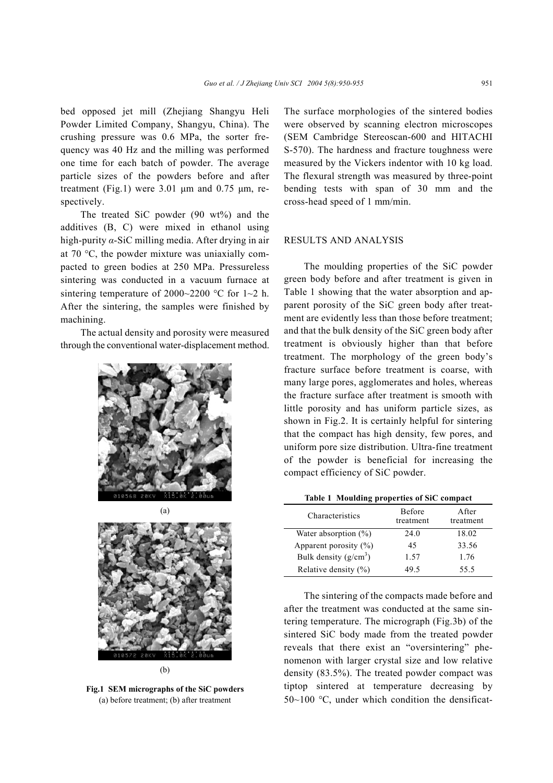bed opposed jet mill (Zhejiang Shangyu Heli Powder Limited Company, Shangyu, China). The crushing pressure was 0.6 MPa, the sorter frequency was 40 Hz and the milling was performed one time for each batch of powder. The average particle sizes of the powders before and after treatment (Fig.1) were  $3.01 \mu m$  and  $0.75 \mu m$ , respectively.

The treated SiC powder (90 wt%) and the additives (B, C) were mixed in ethanol using high-purity *α*-SiC milling media. After drying in air at 70 °C, the powder mixture was uniaxially compacted to green bodies at 250 MPa. Pressureless sintering was conducted in a vacuum furnace at sintering temperature of 2000~2200  $\degree$ C for 1~2 h. After the sintering, the samples were finished by machining.

The actual density and porosity were measured through the conventional water-displacement method.





(b)

**Fig.1 SEM micrographs of the SiC powders**  (a) before treatment; (b) after treatment

The surface morphologies of the sintered bodies were observed by scanning electron microscopes (SEM Cambridge Stereoscan-600 and HITACHI S-570). The hardness and fracture toughness were measured by the Vickers indentor with 10 kg load. The flexural strength was measured by three-point bending tests with span of 30 mm and the cross-head speed of 1 mm/min.

#### RESULTS AND ANALYSIS

The moulding properties of the SiC powder green body before and after treatment is given in Table 1 showing that the water absorption and apparent porosity of the SiC green body after treatment are evidently less than those before treatment; and that the bulk density of the SiC green body after treatment is obviously higher than that before treatment. The morphology of the green body's fracture surface before treatment is coarse, with many large pores, agglomerates and holes, whereas the fracture surface after treatment is smooth with little porosity and has uniform particle sizes, as shown in Fig.2. It is certainly helpful for sintering that the compact has high density, few pores, and uniform pore size distribution. Ultra-fine treatment of the powder is beneficial for increasing the compact efficiency of SiC powder.

#### **Table 1 Moulding properties of SiC compact**

| Characteristics           | Before<br>treatment | A fter<br>treatment |
|---------------------------|---------------------|---------------------|
| Water absorption $(\%)$   | 24.0                | 18.02               |
| Apparent porosity $(\% )$ | 45                  | 33.56               |
| Bulk density $(g/cm^3)$   | 1.57                | 1.76                |
| Relative density $(\%)$   | 49.5                | 55.5                |

The sintering of the compacts made before and after the treatment was conducted at the same sintering temperature. The micrograph (Fig.3b) of the sintered SiC body made from the treated powder reveals that there exist an "oversintering" phenomenon with larger crystal size and low relative density (83.5%). The treated powder compact was tiptop sintered at temperature decreasing by  $50~100$  °C, under which condition the densificat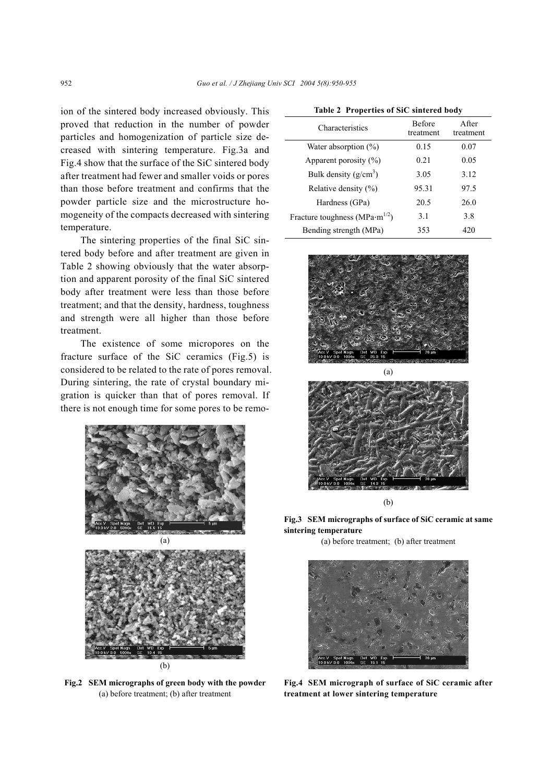ion of the sintered body increased obviously. This proved that reduction in the number of powder particles and homogenization of particle size decreased with sintering temperature. Fig.3a and Fig.4 show that the surface of the SiC sintered body after treatment had fewer and smaller voids or pores than those before treatment and confirms that the powder particle size and the microstructure homogeneity of the compacts decreased with sintering temperature.

The sintering properties of the final SiC sintered body before and after treatment are given in Table 2 showing obviously that the water absorption and apparent porosity of the final SiC sintered body after treatment were less than those before treatment; and that the density, hardness, toughness and strength were all higher than those before treatment.

The existence of some micropores on the fracture surface of the SiC ceramics (Fig.5) is considered to be related to the rate of pores removal. During sintering, the rate of crystal boundary migration is quicker than that of pores removal. If there is not enough time for some pores to be remo-



(b)

**Fig.2 SEM micrographs of green body with the powder** (a) before treatment; (b) after treatment

| Characteristics                                    | <b>Before</b><br>treatment | After<br>treatment |
|----------------------------------------------------|----------------------------|--------------------|
| Water absorption $(\%)$                            | 0.15                       | 0.07               |
| Apparent porosity $(\%)$                           | 0.21                       | 0.05               |
| Bulk density $(g/cm3)$                             | 3.05                       | 3.12               |
| Relative density $(\% )$                           | 95.31                      | 97.5               |
| Hardness (GPa)                                     | 20.5                       | 26.0               |
| Fracture toughness (MPa $\cdot$ m <sup>1/2</sup> ) | 3.1                        | 3.8                |
| Bending strength (MPa)                             | 353                        | 420                |
|                                                    |                            |                    |







**Fig.3 SEM micrographs of surface of SiC ceramic at same sintering temperature** 

(a) before treatment; (b) after treatment



**Fig.4 SEM micrograph of surface of SiC ceramic after treatment at lower sintering temperature**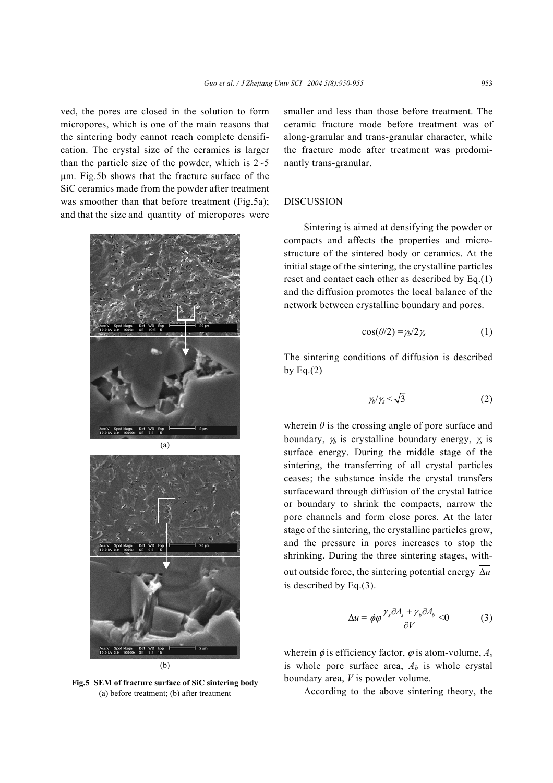ved, the pores are closed in the solution to form micropores, which is one of the main reasons that the sintering body cannot reach complete densification. The crystal size of the ceramics is larger than the particle size of the powder, which is  $2\neg 5$ µm. Fig.5b shows that the fracture surface of the SiC ceramics made from the powder after treatment was smoother than that before treatment (Fig.5a); and that the size and quantity of micropores were





**Fig.5 SEM of fracture surface of SiC sintering body**  (a) before treatment; (b) after treatment

smaller and less than those before treatment. The ceramic fracture mode before treatment was of along-granular and trans-granular character, while the fracture mode after treatment was predominantly trans-granular.

#### **DISCUSSION**

Sintering is aimed at densifying the powder or compacts and affects the properties and microstructure of the sintered body or ceramics. At the initial stage of the sintering, the crystalline particles reset and contact each other as described by Eq.(1) and the diffusion promotes the local balance of the network between crystalline boundary and pores.

$$
\cos(\theta/2) = \gamma_b/2\gamma_s \tag{1}
$$

The sintering conditions of diffusion is described by Eq. $(2)$ 

$$
\gamma_b/\gamma_s < \sqrt{3} \tag{2}
$$

wherein  $\theta$  is the crossing angle of pore surface and boundary, <sup>γ</sup>*b* is crystalline boundary energy, <sup>γ</sup>*s* is surface energy. During the middle stage of the sintering, the transferring of all crystal particles ceases; the substance inside the crystal transfers surfaceward through diffusion of the crystal lattice or boundary to shrink the compacts, narrow the pore channels and form close pores. At the later stage of the sintering, the crystalline particles grow, and the pressure in pores increases to stop the shrinking. During the three sintering stages, without outside force, the sintering potential energy ∆*u* is described by Eq.(3).

$$
\overline{\Delta u} = \phi \varphi \frac{\gamma_s \partial A_s + \gamma_b \partial A_b}{\partial V} < 0 \tag{3}
$$

wherein  $\phi$  is efficiency factor,  $\phi$  is atom-volume,  $A_s$ is whole pore surface area,  $A<sub>b</sub>$  is whole crystal boundary area, *V* is powder volume.

According to the above sintering theory, the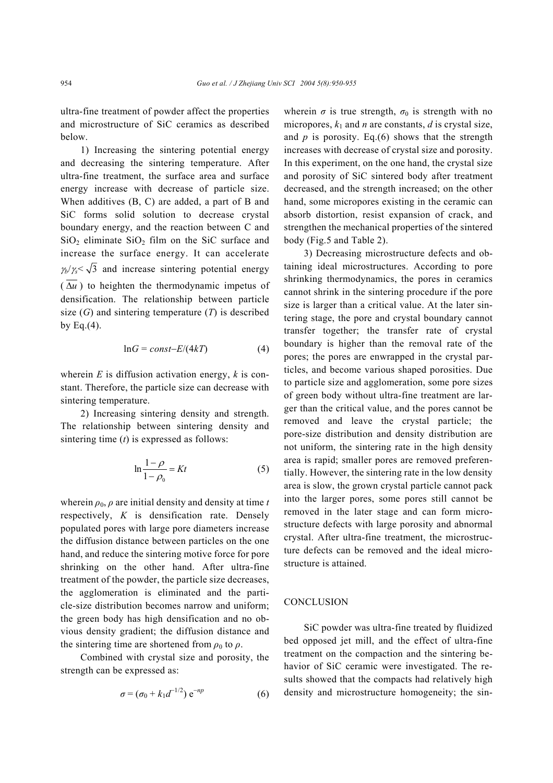ultra-fine treatment of powder affect the properties and microstructure of SiC ceramics as described below.

1) Increasing the sintering potential energy and decreasing the sintering temperature. After ultra-fine treatment, the surface area and surface energy increase with decrease of particle size. When additives (B, C) are added, a part of B and SiC forms solid solution to decrease crystal boundary energy, and the reaction between C and  $SiO<sub>2</sub>$  eliminate  $SiO<sub>2</sub>$  film on the SiC surface and increase the surface energy. It can accelerate  $\gamma_b/\gamma_s < \sqrt{3}$  and increase sintering potential energy  $(\overline{\Delta u})$  to heighten the thermodynamic impetus of densification. The relationship between particle size  $(G)$  and sintering temperature  $(T)$  is described by Eq. $(4)$ .

$$
\ln G = const - E/(4kT) \tag{4}
$$

wherein *E* is diffusion activation energy, *k* is constant. Therefore, the particle size can decrease with sintering temperature.

2) Increasing sintering density and strength. The relationship between sintering density and sintering time (*t*) is expressed as follows:

$$
\ln \frac{1-\rho}{1-\rho_0} = Kt \tag{5}
$$

wherein  $\rho_0$ ,  $\rho$  are initial density and density at time *t* respectively, *K* is densification rate. Densely populated pores with large pore diameters increase the diffusion distance between particles on the one hand, and reduce the sintering motive force for pore shrinking on the other hand. After ultra-fine treatment of the powder, the particle size decreases, the agglomeration is eliminated and the particle-size distribution becomes narrow and uniform; the green body has high densification and no obvious density gradient; the diffusion distance and the sintering time are shortened from  $\rho_0$  to  $\rho$ .

Combined with crystal size and porosity, the strength can be expressed as:

$$
\sigma = (\sigma_0 + k_1 d^{-1/2}) e^{-np}
$$
 (6)

wherein  $\sigma$  is true strength,  $\sigma_0$  is strength with no micropores,  $k_1$  and *n* are constants, *d* is crystal size, and  $p$  is porosity. Eq.(6) shows that the strength increases with decrease of crystal size and porosity. In this experiment, on the one hand, the crystal size and porosity of SiC sintered body after treatment decreased, and the strength increased; on the other hand, some micropores existing in the ceramic can absorb distortion, resist expansion of crack, and strengthen the mechanical properties of the sintered body (Fig.5 and Table 2).

3) Decreasing microstructure defects and obtaining ideal microstructures. According to pore shrinking thermodynamics, the pores in ceramics cannot shrink in the sintering procedure if the pore size is larger than a critical value. At the later sintering stage, the pore and crystal boundary cannot transfer together; the transfer rate of crystal boundary is higher than the removal rate of the pores; the pores are enwrapped in the crystal particles, and become various shaped porosities. Due to particle size and agglomeration, some pore sizes of green body without ultra-fine treatment are larger than the critical value, and the pores cannot be removed and leave the crystal particle; the pore-size distribution and density distribution are not uniform, the sintering rate in the high density area is rapid; smaller pores are removed preferentially. However, the sintering rate in the low density area is slow, the grown crystal particle cannot pack into the larger pores, some pores still cannot be removed in the later stage and can form microstructure defects with large porosity and abnormal crystal. After ultra-fine treatment, the microstructure defects can be removed and the ideal microstructure is attained.

#### **CONCLUSION**

SiC powder was ultra-fine treated by fluidized bed opposed jet mill, and the effect of ultra-fine treatment on the compaction and the sintering behavior of SiC ceramic were investigated. The results showed that the compacts had relatively high density and microstructure homogeneity; the sin